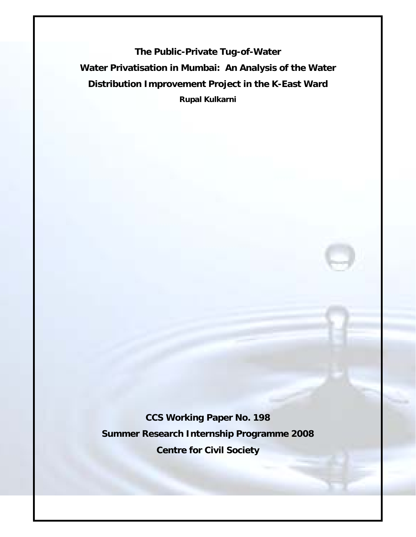**The Public-Private Tug-of-Water Water Privatisation in Mumbai: An Analysis of the Water Distribution Improvement Project in the K-East Ward Rupal Kulkarni** 

**CCS Working Paper No. 198 Summer Research Internship Programme 2008 Centre for Civil Society**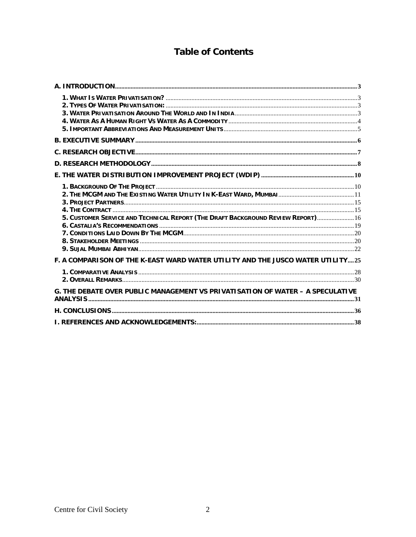# **Table of Contents**

| 5. CUSTOMER SERVICE AND TECHNICAL REPORT (THE DRAFT BACKGROUND REVIEW REPORT) 16 |  |
|----------------------------------------------------------------------------------|--|
| F. A COMPARISON OF THE K-EAST WARD WATER UTILITY AND THE JUSCO WATER UTILITY25   |  |
|                                                                                  |  |
| G. THE DEBATE OVER PUBLIC MANAGEMENT VS PRIVATISATION OF WATER - A SPECULATIVE   |  |
|                                                                                  |  |
|                                                                                  |  |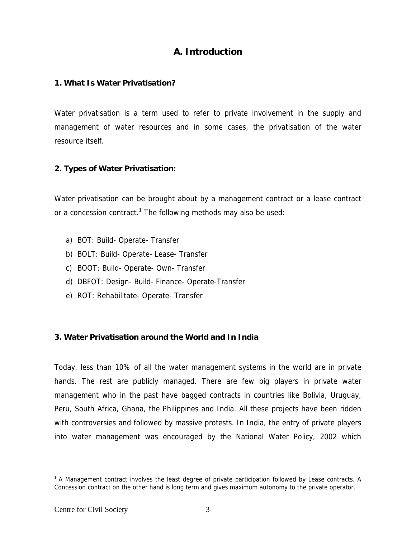## **A. Introduction**

#### **1. What Is Water Privatisation?**

Water privatisation is a term used to refer to private involvement in the supply and management of water resources and in some cases, the privatisation of the water resource itself.

#### **2. Types of Water Privatisation:**

Water privatisation can be brought about by a management contract or a lease contract or a concession contract.<sup>1</sup> The following methods may also be used:

- a) BOT: Build- Operate- Transfer
- b) BOLT: Build- Operate- Lease- Transfer
- c) BOOT: Build- Operate- Own- Transfer
- d) DBFOT: Design- Build- Finance- Operate-Transfer
- e) ROT: Rehabilitate- Operate- Transfer

#### **3. Water Privatisation around the World and In India**

Today, less than 10% of all the water management systems in the world are in private hands. The rest are publicly managed. There are few big players in private water management who in the past have bagged contracts in countries like Bolivia, Uruguay, Peru, South Africa, Ghana, the Philippines and India. All these projects have been ridden with controversies and followed by massive protests. In India, the entry of private players into water management was encouraged by the National Water Policy, 2002 which

 $\overline{a}$ 

 $1$  A Management contract involves the least degree of private participation followed by Lease contracts. A Concession contract on the other hand is long term and gives maximum autonomy to the private operator.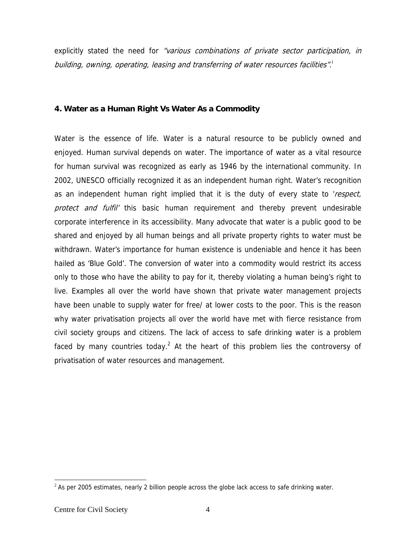explicitly stated the need for *"various combinations of private sector participation, in* building, owning, operating, leasing and transferring of water resources facilities".  $^{\text{!}}$ 

#### **4. Water as a Human Right Vs Water As a Commodity**

Water is the essence of life. Water is a natural resource to be publicly owned and enjoyed. Human survival depends on water. The importance of water as a vital resource for human survival was recognized as early as 1946 by the international community. In 2002, UNESCO officially recognized it as an independent human right. Water's recognition as an independent human right implied that it is the duty of every state to 'respect, protect and fulfil' this basic human requirement and thereby prevent undesirable corporate interference in its accessibility. Many advocate that water is a public good to be shared and enjoyed by all human beings and all private property rights to water must be withdrawn. Water's importance for human existence is undeniable and hence it has been hailed as 'Blue Gold'. The conversion of water into a commodity would restrict its access only to those who have the ability to pay for it, thereby violating a human being's right to live. Examples all over the world have shown that private water management projects have been unable to supply water for free/ at lower costs to the poor. This is the reason why water privatisation projects all over the world have met with fierce resistance from civil society groups and citizens. The lack of access to safe drinking water is a problem faced by many countries today.<sup>2</sup> At the heart of this problem lies the controversy of privatisation of water resources and management.

 $\overline{\phantom{a}}$ 

 $<sup>2</sup>$  As per 2005 estimates, nearly 2 billion people across the globe lack access to safe drinking water.</sup>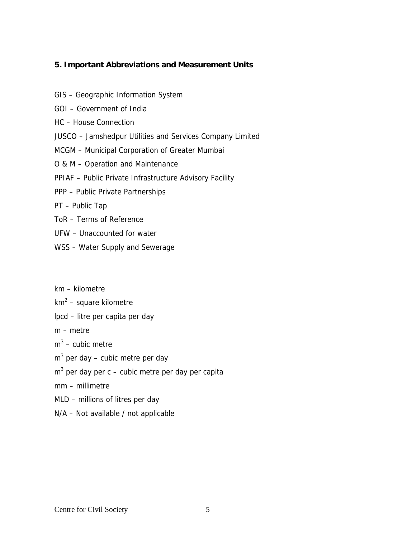#### **5. Important Abbreviations and Measurement Units**

- GIS Geographic Information System
- GOI Government of India
- HC House Connection
- JUSCO Jamshedpur Utilities and Services Company Limited
- MCGM Municipal Corporation of Greater Mumbai
- O & M Operation and Maintenance
- PPIAF Public Private Infrastructure Advisory Facility
- PPP Public Private Partnerships
- PT Public Tap
- ToR Terms of Reference
- UFW Unaccounted for water
- WSS Water Supply and Sewerage
- km kilometre
- km<sup>2</sup> square kilometre
- lpcd litre per capita per day
- m metre
- $m^3$  cubic metre
- $m^3$  per day cubic metre per day
- $m^3$  per day per c cubic metre per day per capita
- mm millimetre
- MLD millions of litres per day
- N/A Not available / not applicable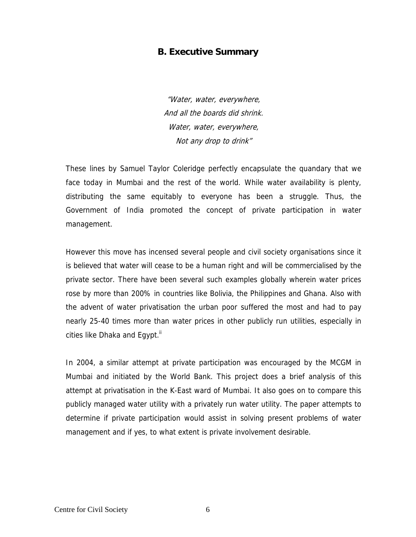### **B. Executive Summary**

"Water, water, everywhere, And all the boards did shrink. Water, water, everywhere, Not any drop to drink"

These lines by Samuel Taylor Coleridge perfectly encapsulate the quandary that we face today in Mumbai and the rest of the world. While water availability is plenty, distributing the same equitably to everyone has been a struggle. Thus, the Government of India promoted the concept of private participation in water management.

However this move has incensed several people and civil society organisations since it is believed that water will cease to be a human right and will be commercialised by the private sector. There have been several such examples globally wherein water prices rose by more than 200% in countries like Bolivia, the Philippines and Ghana. Also with the advent of water privatisation the urban poor suffered the most and had to pay nearly 25-40 times more than water prices in other publicly run utilities, especially in cities like Dhaka and Egypt."

In 2004, a similar attempt at private participation was encouraged by the MCGM in Mumbai and initiated by the World Bank. This project does a brief analysis of this attempt at privatisation in the K-East ward of Mumbai. It also goes on to compare this publicly managed water utility with a privately run water utility. The paper attempts to determine if private participation would assist in solving present problems of water management and if yes, to what extent is private involvement desirable.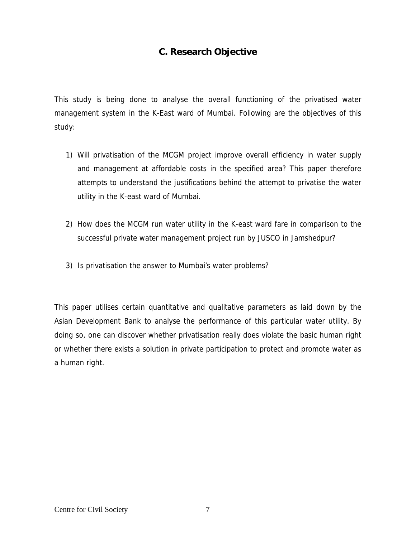## **C. Research Objective**

This study is being done to analyse the overall functioning of the privatised water management system in the K-East ward of Mumbai. Following are the objectives of this study:

- 1) Will privatisation of the MCGM project improve overall efficiency in water supply and management at affordable costs in the specified area? This paper therefore attempts to understand the justifications behind the attempt to privatise the water utility in the K-east ward of Mumbai.
- 2) How does the MCGM run water utility in the K-east ward fare in comparison to the successful private water management project run by JUSCO in Jamshedpur?
- 3) Is privatisation the answer to Mumbai's water problems?

This paper utilises certain quantitative and qualitative parameters as laid down by the Asian Development Bank to analyse the performance of this particular water utility. By doing so, one can discover whether privatisation really does violate the basic human right or whether there exists a solution in private participation to protect and promote water as a human right.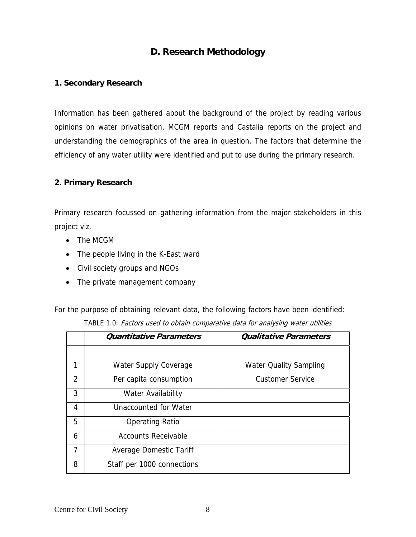## **D. Research Methodology**

#### **1. Secondary Research**

Information has been gathered about the background of the project by reading various opinions on water privatisation, MCGM reports and Castalia reports on the project and understanding the demographics of the area in question. The factors that determine the efficiency of any water utility were identified and put to use during the primary research.

#### **2. Primary Research**

Primary research focussed on gathering information from the major stakeholders in this project viz.

- The MCGM
- The people living in the K-East ward
- Civil society groups and NGOs
- The private management company

For the purpose of obtaining relevant data, the following factors have been identified:

|                | <b>Quantitative Parameters</b> | <b>Qualitative Parameters</b> |
|----------------|--------------------------------|-------------------------------|
|                |                                |                               |
| 1              | <b>Water Supply Coverage</b>   | <b>Water Quality Sampling</b> |
| $\overline{2}$ | Per capita consumption         | <b>Customer Service</b>       |
| 3              | <b>Water Availability</b>      |                               |
| 4              | Unaccounted for Water          |                               |
| 5              | <b>Operating Ratio</b>         |                               |
| 6              | <b>Accounts Receivable</b>     |                               |
| $\overline{7}$ | Average Domestic Tariff        |                               |
| 8              | Staff per 1000 connections     |                               |

TABLE 1.0: Factors used to obtain comparative data for analysing water utilities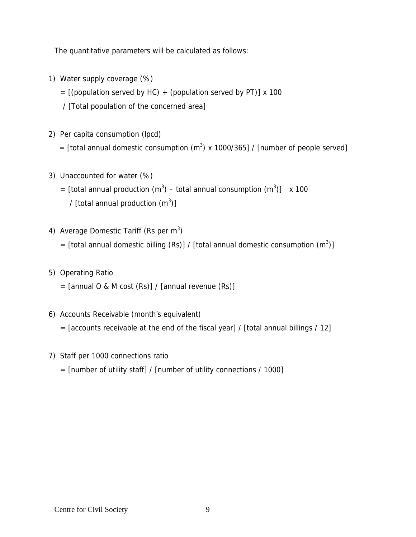The quantitative parameters will be calculated as follows:

- 1) Water supply coverage (%)
	- $=$  [(population served by HC) + (population served by PT)] x 100
	- / [Total population of the concerned area]
- 2) Per capita consumption (lpcd)
- = [total annual domestic consumption  $(m^3)$  x 1000/365] / [number of people served]
- 3) Unaccounted for water (%)
	- = [total annual production  $(m^3)$  total annual consumption  $(m^3)$ ] x 100 / [total annual production  $(m^3)$ ]
- 4) Average Domestic Tariff (Rs per  $m<sup>3</sup>$ )
	- = [total annual domestic billing (Rs)] / [total annual domestic consumption  $(m^3)$ ]
- 5) Operating Ratio
	- $=$  [annual O & M cost (Rs)] / [annual revenue (Rs)]
- 6) Accounts Receivable (month's equivalent)
	- $=$  [accounts receivable at the end of the fiscal year] / [total annual billings / 12]
- 7) Staff per 1000 connections ratio
	- $=$  [number of utility staff] / [number of utility connections / 1000]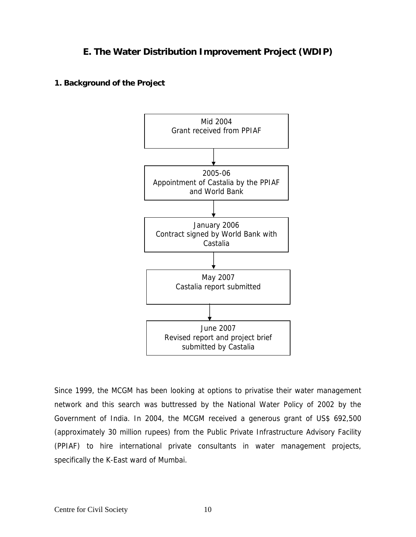## **E. The Water Distribution Improvement Project (WDIP)**

**1. Background of the Project** 



Since 1999, the MCGM has been looking at options to privatise their water management network and this search was buttressed by the National Water Policy of 2002 by the Government of India. In 2004, the MCGM received a generous grant of US\$ 692,500 (approximately 30 million rupees) from the Public Private Infrastructure Advisory Facility (PPIAF) to hire international private consultants in water management projects, specifically the K-East ward of Mumbai.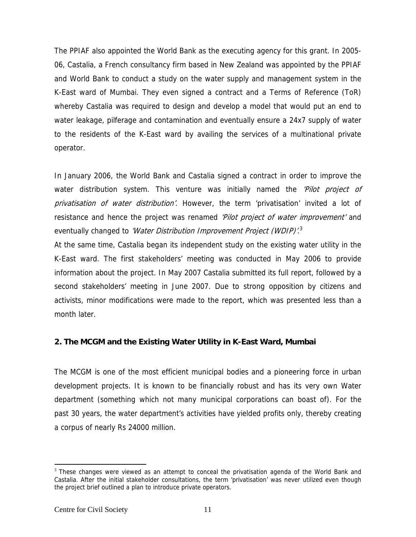The PPIAF also appointed the World Bank as the executing agency for this grant. In 2005- 06, Castalia, a French consultancy firm based in New Zealand was appointed by the PPIAF and World Bank to conduct a study on the water supply and management system in the K-East ward of Mumbai. They even signed a contract and a Terms of Reference (ToR) whereby Castalia was required to design and develop a model that would put an end to water leakage, pilferage and contamination and eventually ensure a 24x7 supply of water to the residents of the K-East ward by availing the services of a multinational private operator.

In January 2006, the World Bank and Castalia signed a contract in order to improve the water distribution system. This venture was initially named the 'Pilot project of privatisation of water distribution'. However, the term 'privatisation' invited a lot of resistance and hence the project was renamed 'Pilot project of water improvement' and eventually changed to *'Water Distribution Improvement Project (WDIP)'*.<sup>3</sup>

At the same time, Castalia began its independent study on the existing water utility in the K-East ward. The first stakeholders' meeting was conducted in May 2006 to provide information about the project. In May 2007 Castalia submitted its full report, followed by a second stakeholders' meeting in June 2007. Due to strong opposition by citizens and activists, minor modifications were made to the report, which was presented less than a month later.

#### **2. The MCGM and the Existing Water Utility in K-East Ward, Mumbai**

The MCGM is one of the most efficient municipal bodies and a pioneering force in urban development projects. It is known to be financially robust and has its very own Water department (something which not many municipal corporations can boast of). For the past 30 years, the water department's activities have yielded profits only, thereby creating a corpus of nearly Rs 24000 million.

 $\overline{\phantom{a}}$ 

 $3$  These changes were viewed as an attempt to conceal the privatisation agenda of the World Bank and Castalia. After the initial stakeholder consultations, the term 'privatisation' was never utilized even though the project brief outlined a plan to introduce private operators.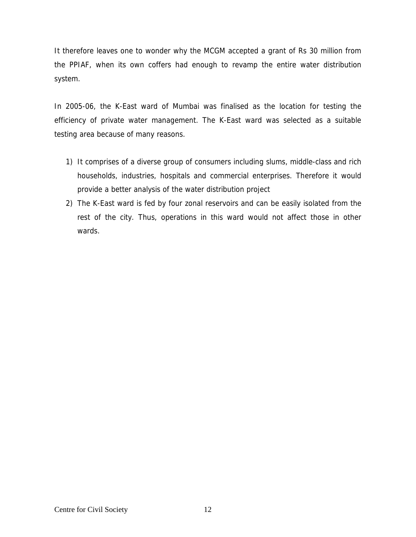It therefore leaves one to wonder why the MCGM accepted a grant of Rs 30 million from the PPIAF, when its own coffers had enough to revamp the entire water distribution system.

In 2005-06, the K-East ward of Mumbai was finalised as the location for testing the efficiency of private water management. The K-East ward was selected as a suitable testing area because of many reasons.

- 1) It comprises of a diverse group of consumers including slums, middle-class and rich households, industries, hospitals and commercial enterprises. Therefore it would provide a better analysis of the water distribution project
- 2) The K-East ward is fed by four zonal reservoirs and can be easily isolated from the rest of the city. Thus, operations in this ward would not affect those in other wards.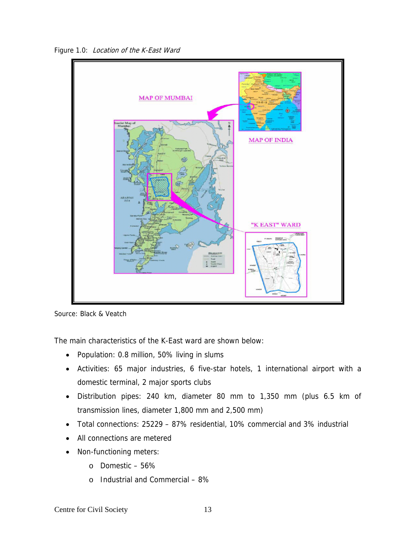Figure 1.0: Location of the K-East Ward



Source: Black & Veatch

The main characteristics of the K-East ward are shown below:

- Population: 0.8 million, 50% living in slums
- Activities: 65 major industries, 6 five-star hotels, 1 international airport with a domestic terminal, 2 major sports clubs
- Distribution pipes: 240 km, diameter 80 mm to 1,350 mm (plus 6.5 km of transmission lines, diameter 1,800 mm and 2,500 mm)
- Total connections: 25229 87% residential, 10% commercial and 3% industrial
- All connections are metered
- Non-functioning meters:
	- o Domestic 56%
	- o Industrial and Commercial 8%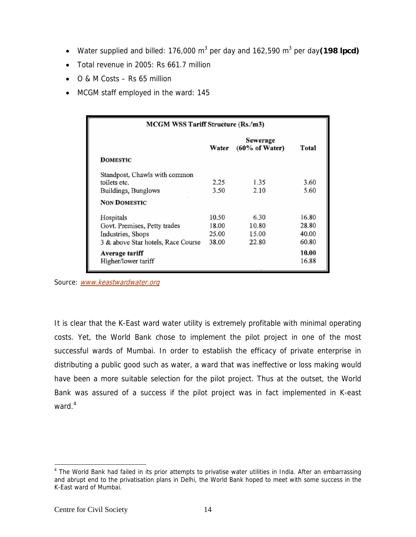- Water supplied and billed: 176,000 m<sup>3</sup> per day and 162,590 m<sup>3</sup> per day(198 lpcd)
- Total revenue in 2005: Rs 661.7 million
- O & M Costs Rs 65 million
- MCGM staff employed in the ward: 145

| MCGM WSS Tariff Structure (Rs./m3) |       |                                       |       |  |  |
|------------------------------------|-------|---------------------------------------|-------|--|--|
|                                    | Water | Sewerage<br>$(60\% \text{ of Water})$ | Total |  |  |
| DOMESTIC                           |       |                                       |       |  |  |
| Standpost, Chawls with common      |       |                                       |       |  |  |
| toilets etc.                       | 2.25  | 1.35                                  | 3.60  |  |  |
| Buildings, Bunglows                | 3.50  | 2.10                                  | 5.60  |  |  |
| <b>NON DOMESTIC</b>                |       |                                       |       |  |  |
| Hospitals                          | 10.50 | 6.30                                  | 16.80 |  |  |
| Govt. Premises, Petty trades       | 18.00 | 10.80                                 | 28.80 |  |  |
| Industries, Shops                  | 25.00 | 15.00                                 | 40.00 |  |  |
| 3 & above Star hotels, Race Course | 38.00 | 22.80                                 | 60.80 |  |  |
| Average tariff                     |       |                                       | 10.00 |  |  |
| Higher/lower tariff                |       |                                       | 16.88 |  |  |

Source: www.keastwardwater.org

It is clear that the K-East ward water utility is extremely profitable with minimal operating costs. Yet, the World Bank chose to implement the pilot project in one of the most successful wards of Mumbai. In order to establish the efficacy of private enterprise in distributing a public good such as water, a ward that was ineffective or loss making would have been a more suitable selection for the pilot project. Thus at the outset, the World Bank was assured of a success if the pilot project was in fact implemented in K-east ward. $^4$ 

 $\overline{a}$ 

<sup>&</sup>lt;sup>4</sup> The World Bank had failed in its prior attempts to privatise water utilities in India. After an embarrassing and abrupt end to the privatisation plans in Delhi, the World Bank hoped to meet with some success in the K-East ward of Mumbai.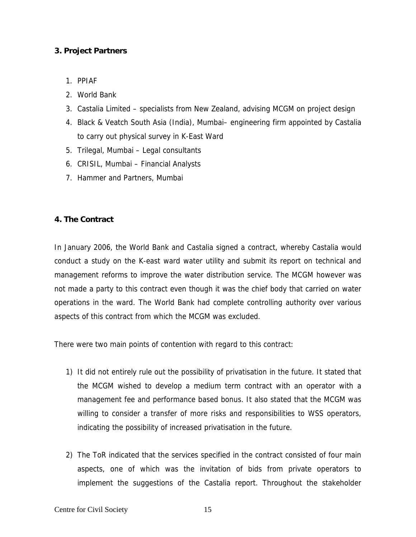#### **3. Project Partners**

- 1. PPIAF
- 2. World Bank
- 3. Castalia Limited specialists from New Zealand, advising MCGM on project design
- 4. Black & Veatch South Asia (India), Mumbai– engineering firm appointed by Castalia to carry out physical survey in K-East Ward
- 5. Trilegal, Mumbai Legal consultants
- 6. CRISIL, Mumbai Financial Analysts
- 7. Hammer and Partners, Mumbai

#### **4. The Contract**

In January 2006, the World Bank and Castalia signed a contract, whereby Castalia would conduct a study on the K-east ward water utility and submit its report on technical and management reforms to improve the water distribution service. The MCGM however was not made a party to this contract even though it was the chief body that carried on water operations in the ward. The World Bank had complete controlling authority over various aspects of this contract from which the MCGM was excluded.

There were two main points of contention with regard to this contract:

- 1) It did not entirely rule out the possibility of privatisation in the future. It stated that the MCGM wished to develop a medium term contract with an operator with a management fee and performance based bonus. It also stated that the MCGM was willing to consider a transfer of more risks and responsibilities to WSS operators, indicating the possibility of increased privatisation in the future.
- 2) The ToR indicated that the services specified in the contract consisted of four main aspects, one of which was the invitation of bids from private operators to implement the suggestions of the Castalia report. Throughout the stakeholder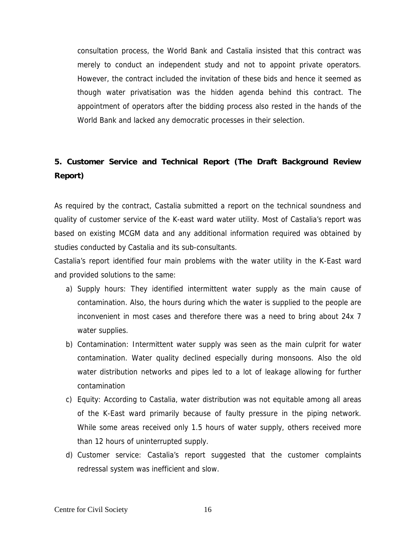consultation process, the World Bank and Castalia insisted that this contract was merely to conduct an independent study and not to appoint private operators. However, the contract included the invitation of these bids and hence it seemed as though water privatisation was the hidden agenda behind this contract. The appointment of operators after the bidding process also rested in the hands of the World Bank and lacked any democratic processes in their selection.

# **5. Customer Service and Technical Report (The Draft Background Review Report)**

As required by the contract, Castalia submitted a report on the technical soundness and quality of customer service of the K-east ward water utility. Most of Castalia's report was based on existing MCGM data and any additional information required was obtained by studies conducted by Castalia and its sub-consultants.

Castalia's report identified four main problems with the water utility in the K-East ward and provided solutions to the same:

- a) Supply hours: They identified intermittent water supply as the main cause of contamination. Also, the hours during which the water is supplied to the people are inconvenient in most cases and therefore there was a need to bring about 24x 7 water supplies.
- b) Contamination: Intermittent water supply was seen as the main culprit for water contamination. Water quality declined especially during monsoons. Also the old water distribution networks and pipes led to a lot of leakage allowing for further contamination
- c) Equity: According to Castalia, water distribution was not equitable among all areas of the K-East ward primarily because of faulty pressure in the piping network. While some areas received only 1.5 hours of water supply, others received more than 12 hours of uninterrupted supply.
- d) Customer service: Castalia's report suggested that the customer complaints redressal system was inefficient and slow.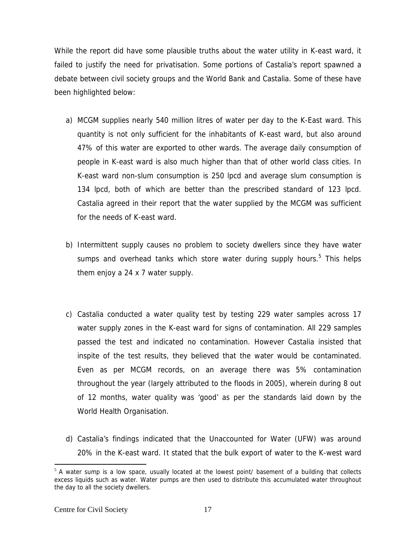While the report did have some plausible truths about the water utility in K-east ward, it failed to justify the need for privatisation. Some portions of Castalia's report spawned a debate between civil society groups and the World Bank and Castalia. Some of these have been highlighted below:

- a) MCGM supplies nearly 540 million litres of water per day to the K-East ward. This quantity is not only sufficient for the inhabitants of K-east ward, but also around 47% of this water are exported to other wards. The average daily consumption of people in K-east ward is also much higher than that of other world class cities. In K-east ward non-slum consumption is 250 lpcd and average slum consumption is 134 lpcd, both of which are better than the prescribed standard of 123 lpcd. Castalia agreed in their report that the water supplied by the MCGM was sufficient for the needs of K-east ward.
- b) Intermittent supply causes no problem to society dwellers since they have water sumps and overhead tanks which store water during supply hours.<sup>5</sup> This helps them enjoy a 24 x 7 water supply.
- c) Castalia conducted a water quality test by testing 229 water samples across 17 water supply zones in the K-east ward for signs of contamination. All 229 samples passed the test and indicated no contamination. However Castalia insisted that inspite of the test results, they believed that the water would be contaminated. Even as per MCGM records, on an average there was 5% contamination throughout the year (largely attributed to the floods in 2005), wherein during 8 out of 12 months, water quality was 'good' as per the standards laid down by the World Health Organisation.
- d) Castalia's findings indicated that the Unaccounted for Water (UFW) was around 20% in the K-east ward. It stated that the bulk export of water to the K-west ward

 $\overline{\phantom{a}}$ 

 $<sup>5</sup>$  A water sump is a low space, usually located at the lowest point/ basement of a building that collects</sup> excess liquids such as water. Water pumps are then used to distribute this accumulated water throughout the day to all the society dwellers.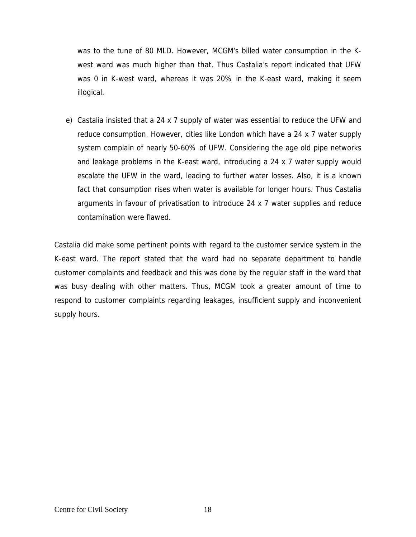was to the tune of 80 MLD. However, MCGM's billed water consumption in the Kwest ward was much higher than that. Thus Castalia's report indicated that UFW was 0 in K-west ward, whereas it was 20% in the K-east ward, making it seem illogical.

e) Castalia insisted that a 24 x 7 supply of water was essential to reduce the UFW and reduce consumption. However, cities like London which have a 24 x 7 water supply system complain of nearly 50-60% of UFW. Considering the age old pipe networks and leakage problems in the K-east ward, introducing a 24 x 7 water supply would escalate the UFW in the ward, leading to further water losses. Also, it is a known fact that consumption rises when water is available for longer hours. Thus Castalia arguments in favour of privatisation to introduce 24 x 7 water supplies and reduce contamination were flawed.

Castalia did make some pertinent points with regard to the customer service system in the K-east ward. The report stated that the ward had no separate department to handle customer complaints and feedback and this was done by the regular staff in the ward that was busy dealing with other matters. Thus, MCGM took a greater amount of time to respond to customer complaints regarding leakages, insufficient supply and inconvenient supply hours.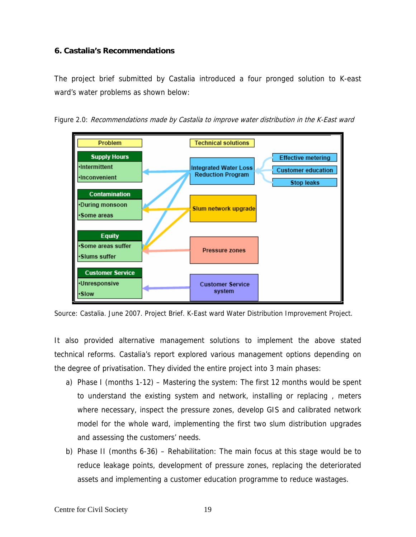#### **6. Castalia's Recommendations**

The project brief submitted by Castalia introduced a four pronged solution to K-east ward's water problems as shown below:





Source: Castalia. June 2007. Project Brief. K-East ward Water Distribution Improvement Project.

It also provided alternative management solutions to implement the above stated technical reforms. Castalia's report explored various management options depending on the degree of privatisation. They divided the entire project into 3 main phases:

- a) Phase I (months 1-12) Mastering the system: The first 12 months would be spent to understand the existing system and network, installing or replacing , meters where necessary, inspect the pressure zones, develop GIS and calibrated network model for the whole ward, implementing the first two slum distribution upgrades and assessing the customers' needs.
- b) Phase II (months 6-36) Rehabilitation: The main focus at this stage would be to reduce leakage points, development of pressure zones, replacing the deteriorated assets and implementing a customer education programme to reduce wastages.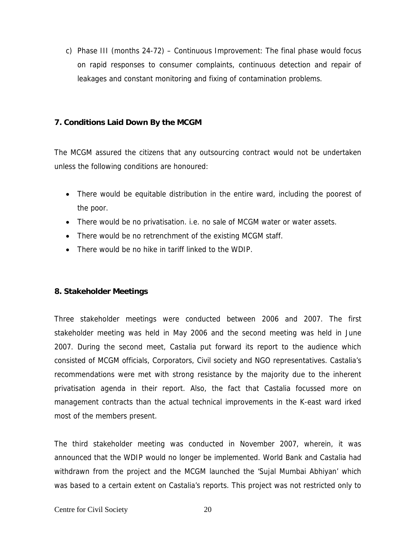c) Phase III (months 24-72) – Continuous Improvement: The final phase would focus on rapid responses to consumer complaints, continuous detection and repair of leakages and constant monitoring and fixing of contamination problems.

#### **7. Conditions Laid Down By the MCGM**

The MCGM assured the citizens that any outsourcing contract would not be undertaken unless the following conditions are honoured:

- There would be equitable distribution in the entire ward, including the poorest of the poor.
- There would be no privatisation. i.e. no sale of MCGM water or water assets.
- There would be no retrenchment of the existing MCGM staff.
- There would be no hike in tariff linked to the WDIP.

#### **8. Stakeholder Meetings**

Three stakeholder meetings were conducted between 2006 and 2007. The first stakeholder meeting was held in May 2006 and the second meeting was held in June 2007. During the second meet, Castalia put forward its report to the audience which consisted of MCGM officials, Corporators, Civil society and NGO representatives. Castalia's recommendations were met with strong resistance by the majority due to the inherent privatisation agenda in their report. Also, the fact that Castalia focussed more on management contracts than the actual technical improvements in the K-east ward irked most of the members present.

The third stakeholder meeting was conducted in November 2007, wherein, it was announced that the WDIP would no longer be implemented. World Bank and Castalia had withdrawn from the project and the MCGM launched the 'Sujal Mumbai Abhiyan' which was based to a certain extent on Castalia's reports. This project was not restricted only to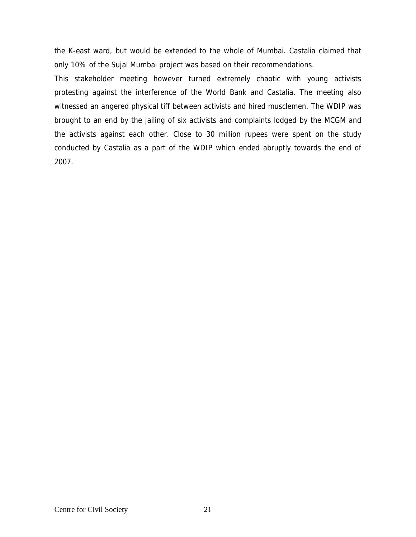the K-east ward, but would be extended to the whole of Mumbai. Castalia claimed that only 10% of the Sujal Mumbai project was based on their recommendations.

This stakeholder meeting however turned extremely chaotic with young activists protesting against the interference of the World Bank and Castalia. The meeting also witnessed an angered physical tiff between activists and hired musclemen. The WDIP was brought to an end by the jailing of six activists and complaints lodged by the MCGM and the activists against each other. Close to 30 million rupees were spent on the study conducted by Castalia as a part of the WDIP which ended abruptly towards the end of 2007.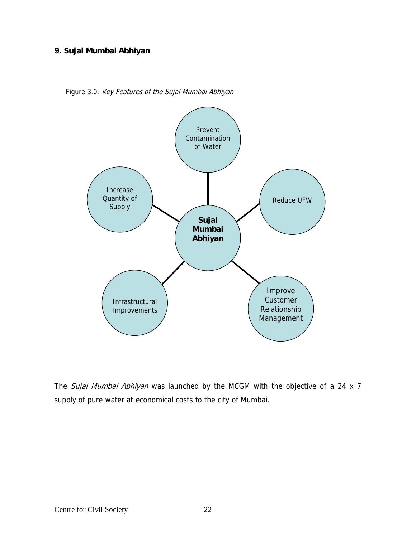#### **9. Sujal Mumbai Abhiyan**

Figure 3.0: Key Features of the Sujal Mumbai Abhiyan



The Sujal Mumbai Abhiyan was launched by the MCGM with the objective of a 24 x 7 supply of pure water at economical costs to the city of Mumbai.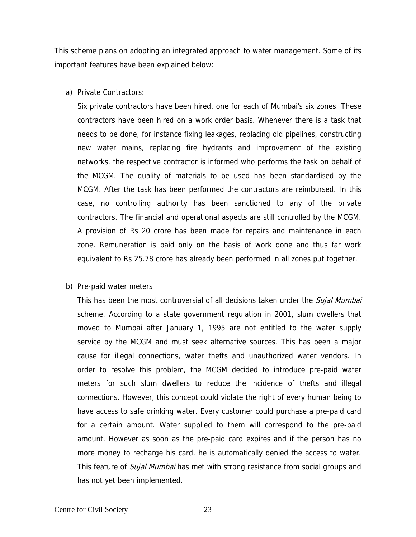This scheme plans on adopting an integrated approach to water management. Some of its important features have been explained below:

a) Private Contractors:

Six private contractors have been hired, one for each of Mumbai's six zones. These contractors have been hired on a work order basis. Whenever there is a task that needs to be done, for instance fixing leakages, replacing old pipelines, constructing new water mains, replacing fire hydrants and improvement of the existing networks, the respective contractor is informed who performs the task on behalf of the MCGM. The quality of materials to be used has been standardised by the MCGM. After the task has been performed the contractors are reimbursed. In this case, no controlling authority has been sanctioned to any of the private contractors. The financial and operational aspects are still controlled by the MCGM. A provision of Rs 20 crore has been made for repairs and maintenance in each zone. Remuneration is paid only on the basis of work done and thus far work equivalent to Rs 25.78 crore has already been performed in all zones put together.

b) Pre-paid water meters

This has been the most controversial of all decisions taken under the *Sujal Mumbai* scheme. According to a state government regulation in 2001, slum dwellers that moved to Mumbai after January 1, 1995 are not entitled to the water supply service by the MCGM and must seek alternative sources. This has been a major cause for illegal connections, water thefts and unauthorized water vendors. In order to resolve this problem, the MCGM decided to introduce pre-paid water meters for such slum dwellers to reduce the incidence of thefts and illegal connections. However, this concept could violate the right of every human being to have access to safe drinking water. Every customer could purchase a pre-paid card for a certain amount. Water supplied to them will correspond to the pre-paid amount. However as soon as the pre-paid card expires and if the person has no more money to recharge his card, he is automatically denied the access to water. This feature of *Sujal Mumbai* has met with strong resistance from social groups and has not yet been implemented.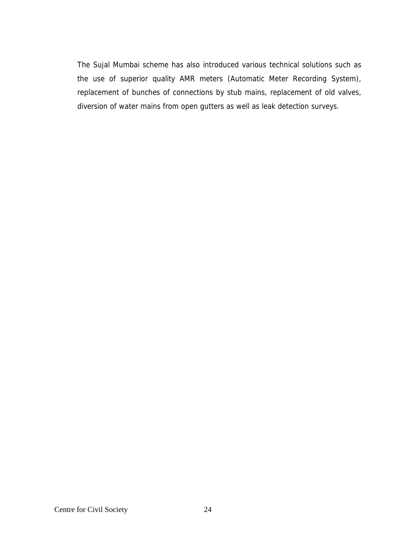The Sujal Mumbai scheme has also introduced various technical solutions such as the use of superior quality AMR meters (Automatic Meter Recording System), replacement of bunches of connections by stub mains, replacement of old valves, diversion of water mains from open gutters as well as leak detection surveys.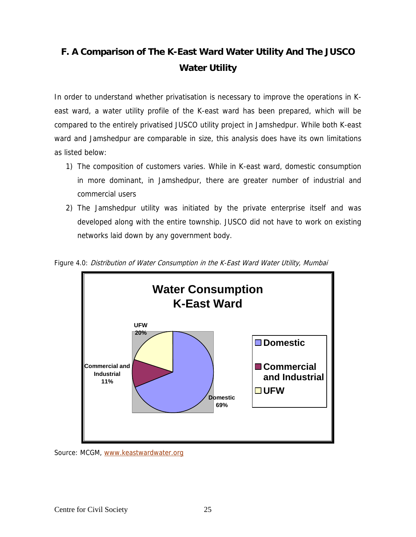# **F. A Comparison of The K-East Ward Water Utility And The JUSCO Water Utility**

In order to understand whether privatisation is necessary to improve the operations in Keast ward, a water utility profile of the K-east ward has been prepared, which will be compared to the entirely privatised JUSCO utility project in Jamshedpur. While both K-east ward and Jamshedpur are comparable in size, this analysis does have its own limitations as listed below:

- 1) The composition of customers varies. While in K-east ward, domestic consumption in more dominant, in Jamshedpur, there are greater number of industrial and commercial users
- 2) The Jamshedpur utility was initiated by the private enterprise itself and was developed along with the entire township. JUSCO did not have to work on existing networks laid down by any government body.



Figure 4.0: Distribution of Water Consumption in the K-East Ward Water Utility, Mumbai

Source: MCGM, www.keastwardwater.org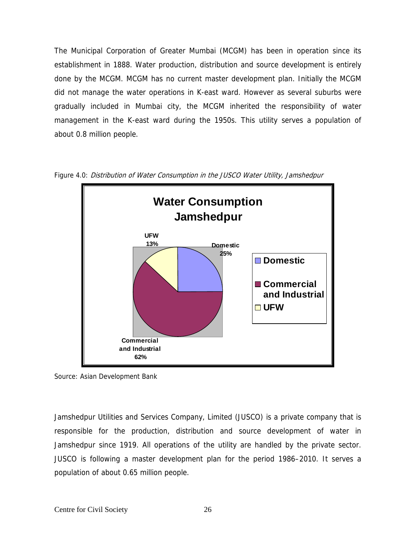The Municipal Corporation of Greater Mumbai (MCGM) has been in operation since its establishment in 1888. Water production, distribution and source development is entirely done by the MCGM. MCGM has no current master development plan. Initially the MCGM did not manage the water operations in K-east ward. However as several suburbs were gradually included in Mumbai city, the MCGM inherited the responsibility of water management in the K-east ward during the 1950s. This utility serves a population of about 0.8 million people.





Source: Asian Development Bank

Jamshedpur Utilities and Services Company, Limited (JUSCO) is a private company that is responsible for the production, distribution and source development of water in Jamshedpur since 1919. All operations of the utility are handled by the private sector. JUSCO is following a master development plan for the period 1986–2010. It serves a population of about 0.65 million people.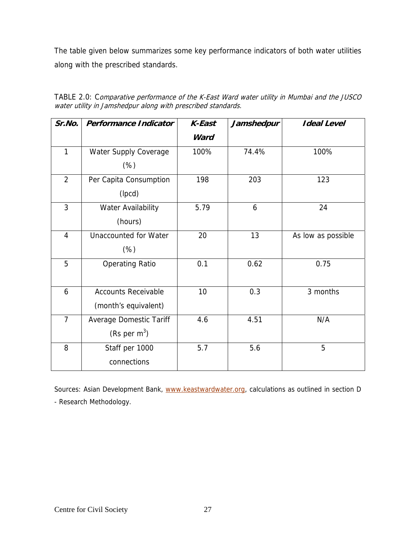The table given below summarizes some key performance indicators of both water utilities along with the prescribed standards.

| Sr.No.         | <b>Performance Indicator</b>   | <b>K-East</b> | Jamshedpur | <b>Ideal Level</b> |  |
|----------------|--------------------------------|---------------|------------|--------------------|--|
|                |                                | Ward          |            |                    |  |
| $\mathbf{1}$   | Water Supply Coverage          | 100%          | 74.4%      | 100%               |  |
|                | $(\%)$                         |               |            |                    |  |
| $\overline{2}$ | Per Capita Consumption         | 198           | 203        | 123                |  |
|                | (lpcd)                         |               |            |                    |  |
| $\overline{3}$ | Water Availability             | 5.79          | 6          | 24                 |  |
|                | (hours)                        |               |            |                    |  |
| $\overline{4}$ | <b>Unaccounted for Water</b>   | 20            | 13         | As low as possible |  |
|                | $(\%)$                         |               |            |                    |  |
| 5              | <b>Operating Ratio</b>         | 0.1           | 0.62       | 0.75               |  |
|                |                                |               |            |                    |  |
| 6              | <b>Accounts Receivable</b>     | 10            | 0.3        | 3 months           |  |
|                | (month's equivalent)           |               |            |                    |  |
| $\overline{7}$ | <b>Average Domestic Tariff</b> | 4.6           | 4.51       | N/A                |  |
|                | (Rs per $m^3$ )                |               |            |                    |  |
| 8              | Staff per 1000                 | 5.7           | 5.6        | 5                  |  |
|                | connections                    |               |            |                    |  |

TABLE 2.0: Comparative performance of the K-East Ward water utility in Mumbai and the JUSCO water utility in Jamshedpur along with prescribed standards.

Sources: Asian Development Bank, www.keastwardwater.org, calculations as outlined in section D - Research Methodology.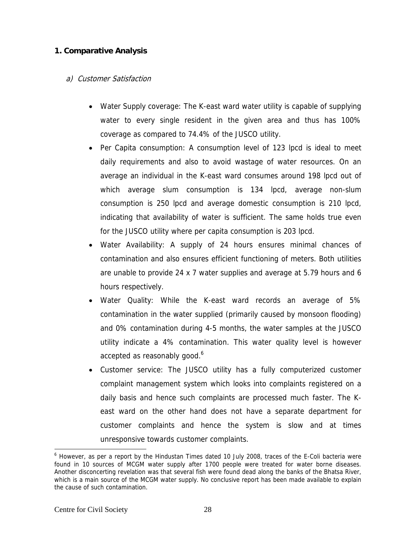#### **1. Comparative Analysis**

#### a) Customer Satisfaction

- Water Supply coverage: The K-east ward water utility is capable of supplying water to every single resident in the given area and thus has 100% coverage as compared to 74.4% of the JUSCO utility.
- Per Capita consumption: A consumption level of 123 lpcd is ideal to meet daily requirements and also to avoid wastage of water resources. On an average an individual in the K-east ward consumes around 198 lpcd out of which average slum consumption is 134 lpcd, average non-slum consumption is 250 lpcd and average domestic consumption is 210 lpcd, indicating that availability of water is sufficient. The same holds true even for the JUSCO utility where per capita consumption is 203 lpcd.
- Water Availability: A supply of 24 hours ensures minimal chances of contamination and also ensures efficient functioning of meters. Both utilities are unable to provide 24 x 7 water supplies and average at 5.79 hours and 6 hours respectively.
- Water Quality: While the K-east ward records an average of 5% contamination in the water supplied (primarily caused by monsoon flooding) and 0% contamination during 4-5 months, the water samples at the JUSCO utility indicate a 4% contamination. This water quality level is however accepted as reasonably good.<sup>6</sup>
- Customer service: The JUSCO utility has a fully computerized customer complaint management system which looks into complaints registered on a daily basis and hence such complaints are processed much faster. The Keast ward on the other hand does not have a separate department for customer complaints and hence the system is slow and at times unresponsive towards customer complaints.

 $\overline{\phantom{a}}$ 

<sup>&</sup>lt;sup>6</sup> However, as per a report by the Hindustan Times dated 10 July 2008, traces of the E-Coli bacteria were found in 10 sources of MCGM water supply after 1700 people were treated for water borne diseases. Another disconcerting revelation was that several fish were found dead along the banks of the Bhatsa River, which is a main source of the MCGM water supply. No conclusive report has been made available to explain the cause of such contamination.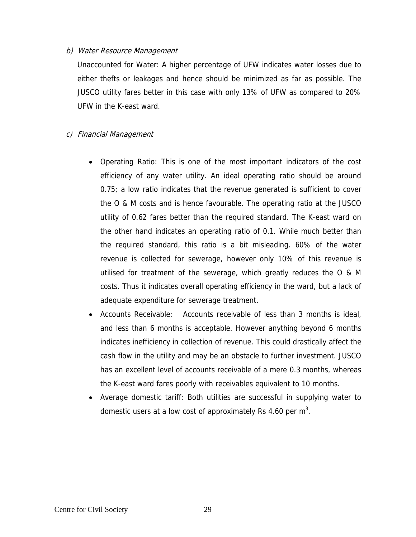#### b) Water Resource Management

Unaccounted for Water: A higher percentage of UFW indicates water losses due to either thefts or leakages and hence should be minimized as far as possible. The JUSCO utility fares better in this case with only 13% of UFW as compared to 20% UFW in the K-east ward.

#### c) Financial Management

- Operating Ratio: This is one of the most important indicators of the cost efficiency of any water utility. An ideal operating ratio should be around 0.75; a low ratio indicates that the revenue generated is sufficient to cover the O & M costs and is hence favourable. The operating ratio at the JUSCO utility of 0.62 fares better than the required standard. The K-east ward on the other hand indicates an operating ratio of 0.1. While much better than the required standard, this ratio is a bit misleading. 60% of the water revenue is collected for sewerage, however only 10% of this revenue is utilised for treatment of the sewerage, which greatly reduces the O & M costs. Thus it indicates overall operating efficiency in the ward, but a lack of adequate expenditure for sewerage treatment.
- Accounts Receivable: Accounts receivable of less than 3 months is ideal, and less than 6 months is acceptable. However anything beyond 6 months indicates inefficiency in collection of revenue. This could drastically affect the cash flow in the utility and may be an obstacle to further investment. JUSCO has an excellent level of accounts receivable of a mere 0.3 months, whereas the K-east ward fares poorly with receivables equivalent to 10 months.
- Average domestic tariff: Both utilities are successful in supplying water to domestic users at a low cost of approximately Rs 4.60 per  $m^3$ .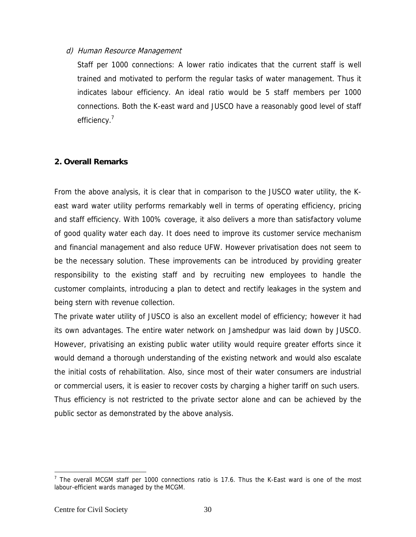#### d) Human Resource Management

Staff per 1000 connections: A lower ratio indicates that the current staff is well trained and motivated to perform the regular tasks of water management. Thus it indicates labour efficiency. An ideal ratio would be 5 staff members per 1000 connections. Both the K-east ward and JUSCO have a reasonably good level of staff efficiency.<sup>7</sup>

#### **2. Overall Remarks**

From the above analysis, it is clear that in comparison to the JUSCO water utility, the Keast ward water utility performs remarkably well in terms of operating efficiency, pricing and staff efficiency. With 100% coverage, it also delivers a more than satisfactory volume of good quality water each day. It does need to improve its customer service mechanism and financial management and also reduce UFW. However privatisation does not seem to be the necessary solution. These improvements can be introduced by providing greater responsibility to the existing staff and by recruiting new employees to handle the customer complaints, introducing a plan to detect and rectify leakages in the system and being stern with revenue collection.

The private water utility of JUSCO is also an excellent model of efficiency; however it had its own advantages. The entire water network on Jamshedpur was laid down by JUSCO. However, privatising an existing public water utility would require greater efforts since it would demand a thorough understanding of the existing network and would also escalate the initial costs of rehabilitation. Also, since most of their water consumers are industrial or commercial users, it is easier to recover costs by charging a higher tariff on such users. Thus efficiency is not restricted to the private sector alone and can be achieved by the public sector as demonstrated by the above analysis.

 $\overline{\phantom{a}}$ 

<sup>&</sup>lt;sup>7</sup> The overall MCGM staff per 1000 connections ratio is 17.6. Thus the K-East ward is one of the most labour-efficient wards managed by the MCGM.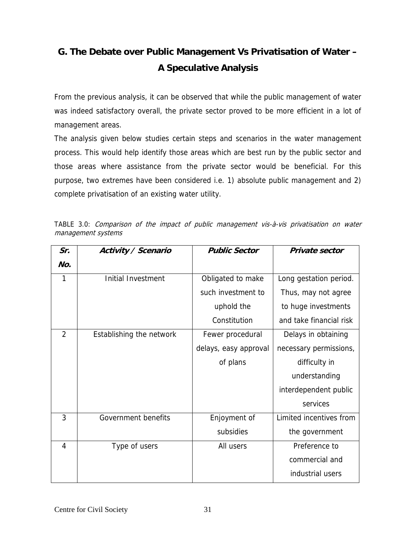# **G. The Debate over Public Management Vs Privatisation of Water – A Speculative Analysis**

From the previous analysis, it can be observed that while the public management of water was indeed satisfactory overall, the private sector proved to be more efficient in a lot of management areas.

The analysis given below studies certain steps and scenarios in the water management process. This would help identify those areas which are best run by the public sector and those areas where assistance from the private sector would be beneficial. For this purpose, two extremes have been considered i.e. 1) absolute public management and 2) complete privatisation of an existing water utility.

|  |                    |  |  | TABLE 3.0: <i>Comparison of the impact of public management vis-à-vis privatisation on water</i> |  |  |
|--|--------------------|--|--|--------------------------------------------------------------------------------------------------|--|--|
|  | management systems |  |  |                                                                                                  |  |  |

| Sr.            | Activity / Scenario       | <b>Public Sector</b>  | Private sector          |
|----------------|---------------------------|-----------------------|-------------------------|
| No.            |                           |                       |                         |
| 1              | <b>Initial Investment</b> | Obligated to make     | Long gestation period.  |
|                |                           | such investment to    | Thus, may not agree     |
|                |                           | uphold the            | to huge investments     |
|                |                           | Constitution          | and take financial risk |
| $\overline{2}$ | Establishing the network  | Fewer procedural      | Delays in obtaining     |
|                |                           | delays, easy approval | necessary permissions,  |
|                |                           | of plans              | difficulty in           |
|                |                           |                       | understanding           |
|                |                           |                       | interdependent public   |
|                |                           |                       | services                |
| 3              | Government benefits       | Enjoyment of          | Limited incentives from |
|                |                           | subsidies             | the government          |
| $\overline{4}$ | Type of users             | All users             | Preference to           |
|                |                           |                       | commercial and          |
|                |                           |                       | industrial users        |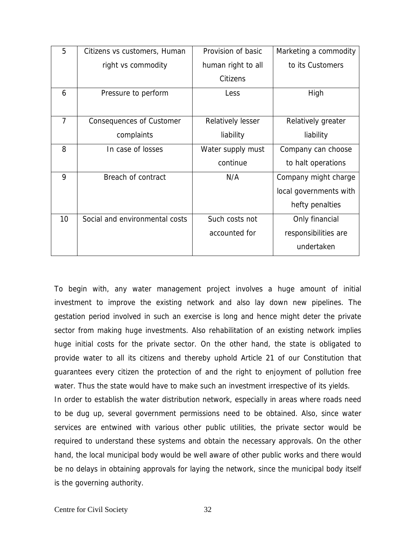| 5              | Citizens vs customers, Human    | Provision of basic | Marketing a commodity  |
|----------------|---------------------------------|--------------------|------------------------|
|                | right vs commodity              | human right to all | to its Customers       |
|                |                                 | Citizens           |                        |
| 6              | Pressure to perform             | Less               | High                   |
|                |                                 |                    |                        |
| $\overline{7}$ | <b>Consequences of Customer</b> | Relatively lesser  | Relatively greater     |
|                | complaints                      | liability          | liability              |
| 8              | In case of losses               | Water supply must  | Company can choose     |
|                |                                 | continue           | to halt operations     |
| 9              | Breach of contract              | N/A                | Company might charge   |
|                |                                 |                    | local governments with |
|                |                                 |                    | hefty penalties        |
| 10             | Social and environmental costs  | Such costs not     | Only financial         |
|                |                                 | accounted for      | responsibilities are   |
|                |                                 |                    | undertaken             |

To begin with, any water management project involves a huge amount of initial investment to improve the existing network and also lay down new pipelines. The gestation period involved in such an exercise is long and hence might deter the private sector from making huge investments. Also rehabilitation of an existing network implies huge initial costs for the private sector. On the other hand, the state is obligated to provide water to all its citizens and thereby uphold Article 21 of our Constitution that guarantees every citizen the protection of and the right to enjoyment of pollution free water. Thus the state would have to make such an investment irrespective of its yields.

In order to establish the water distribution network, especially in areas where roads need to be dug up, several government permissions need to be obtained. Also, since water services are entwined with various other public utilities, the private sector would be required to understand these systems and obtain the necessary approvals. On the other hand, the local municipal body would be well aware of other public works and there would be no delays in obtaining approvals for laying the network, since the municipal body itself is the governing authority.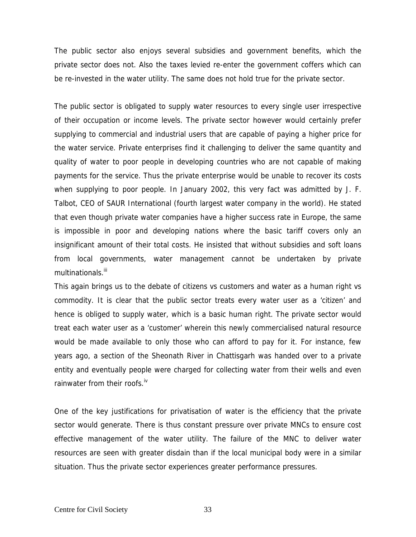The public sector also enjoys several subsidies and government benefits, which the private sector does not. Also the taxes levied re-enter the government coffers which can be re-invested in the water utility. The same does not hold true for the private sector.

The public sector is obligated to supply water resources to every single user irrespective of their occupation or income levels. The private sector however would certainly prefer supplying to commercial and industrial users that are capable of paying a higher price for the water service. Private enterprises find it challenging to deliver the same quantity and quality of water to poor people in developing countries who are not capable of making payments for the service. Thus the private enterprise would be unable to recover its costs when supplying to poor people. In January 2002, this very fact was admitted by J. F. Talbot, CEO of SAUR International (fourth largest water company in the world). He stated that even though private water companies have a higher success rate in Europe, the same is impossible in poor and developing nations where the basic tariff covers only an insignificant amount of their total costs. He insisted that without subsidies and soft loans from local governments, water management cannot be undertaken by private multinationals.<sup>iii</sup>

This again brings us to the debate of citizens vs customers and water as a human right vs commodity. It is clear that the public sector treats every water user as a 'citizen' and hence is obliged to supply water, which is a basic human right. The private sector would treat each water user as a 'customer' wherein this newly commercialised natural resource would be made available to only those who can afford to pay for it. For instance, few years ago, a section of the Sheonath River in Chattisgarh was handed over to a private entity and eventually people were charged for collecting water from their wells and even rainwater from their roofs. $W$ 

One of the key justifications for privatisation of water is the efficiency that the private sector would generate. There is thus constant pressure over private MNCs to ensure cost effective management of the water utility. The failure of the MNC to deliver water resources are seen with greater disdain than if the local municipal body were in a similar situation. Thus the private sector experiences greater performance pressures.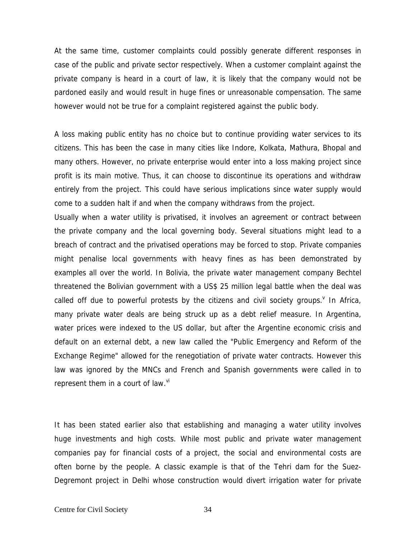At the same time, customer complaints could possibly generate different responses in case of the public and private sector respectively. When a customer complaint against the private company is heard in a court of law, it is likely that the company would not be pardoned easily and would result in huge fines or unreasonable compensation. The same however would not be true for a complaint registered against the public body.

A loss making public entity has no choice but to continue providing water services to its citizens. This has been the case in many cities like Indore, Kolkata, Mathura, Bhopal and many others. However, no private enterprise would enter into a loss making project since profit is its main motive. Thus, it can choose to discontinue its operations and withdraw entirely from the project. This could have serious implications since water supply would come to a sudden halt if and when the company withdraws from the project.

Usually when a water utility is privatised, it involves an agreement or contract between the private company and the local governing body. Several situations might lead to a breach of contract and the privatised operations may be forced to stop. Private companies might penalise local governments with heavy fines as has been demonstrated by examples all over the world. In Bolivia, the private water management company Bechtel threatened the Bolivian government with a US\$ 25 million legal battle when the deal was called off due to powerful protests by the citizens and civil society groups. In Africa, many private water deals are being struck up as a debt relief measure. In Argentina, water prices were indexed to the US dollar, but after the Argentine economic crisis and default on an external debt, a new law called the "Public Emergency and Reform of the Exchange Regime" allowed for the renegotiation of private water contracts. However this law was ignored by the MNCs and French and Spanish governments were called in to represent them in a court of law. $W$ 

It has been stated earlier also that establishing and managing a water utility involves huge investments and high costs. While most public and private water management companies pay for financial costs of a project, the social and environmental costs are often borne by the people. A classic example is that of the Tehri dam for the Suez-Degremont project in Delhi whose construction would divert irrigation water for private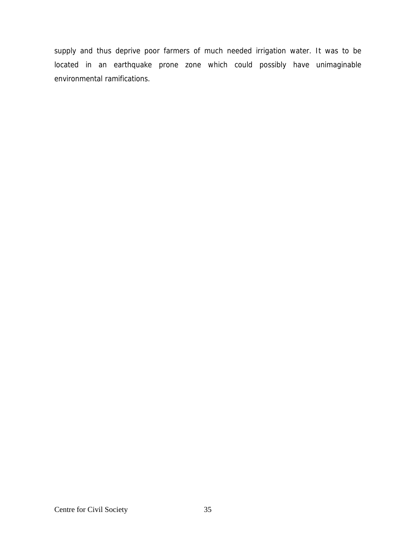supply and thus deprive poor farmers of much needed irrigation water. It was to be located in an earthquake prone zone which could possibly have unimaginable environmental ramifications.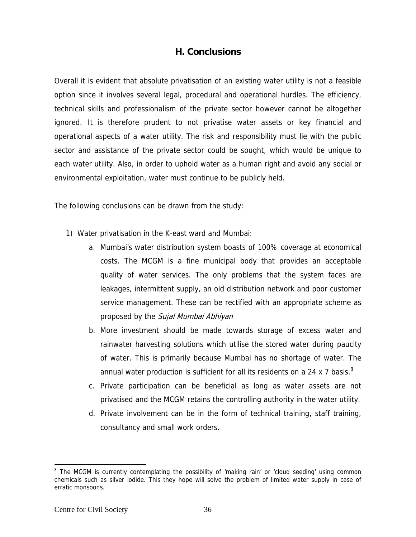#### **H. Conclusions**

Overall it is evident that absolute privatisation of an existing water utility is not a feasible option since it involves several legal, procedural and operational hurdles. The efficiency, technical skills and professionalism of the private sector however cannot be altogether ignored. It is therefore prudent to not privatise water assets or key financial and operational aspects of a water utility. The risk and responsibility must lie with the public sector and assistance of the private sector could be sought, which would be unique to each water utility. Also, in order to uphold water as a human right and avoid any social or environmental exploitation, water must continue to be publicly held.

The following conclusions can be drawn from the study:

- 1) Water privatisation in the K-east ward and Mumbai:
	- a. Mumbai's water distribution system boasts of 100% coverage at economical costs. The MCGM is a fine municipal body that provides an acceptable quality of water services. The only problems that the system faces are leakages, intermittent supply, an old distribution network and poor customer service management. These can be rectified with an appropriate scheme as proposed by the Sujal Mumbai Abhiyan
	- b. More investment should be made towards storage of excess water and rainwater harvesting solutions which utilise the stored water during paucity of water. This is primarily because Mumbai has no shortage of water. The annual water production is sufficient for all its residents on a 24 x 7 basis. $8$
	- c. Private participation can be beneficial as long as water assets are not privatised and the MCGM retains the controlling authority in the water utility.
	- d. Private involvement can be in the form of technical training, staff training, consultancy and small work orders.

 $\overline{a}$ 

<sup>&</sup>lt;sup>8</sup> The MCGM is currently contemplating the possibility of 'making rain' or 'cloud seeding' using common chemicals such as silver iodide. This they hope will solve the problem of limited water supply in case of erratic monsoons.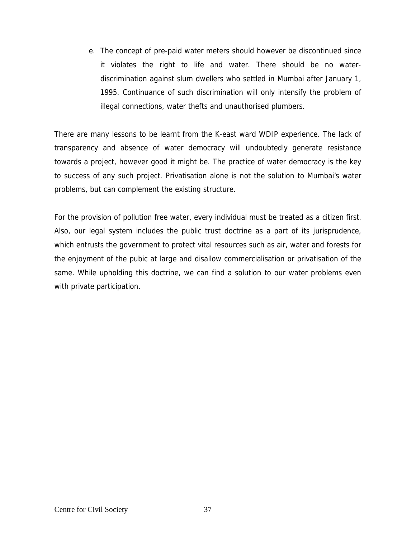e. The concept of pre-paid water meters should however be discontinued since it violates the right to life and water. There should be no waterdiscrimination against slum dwellers who settled in Mumbai after January 1, 1995. Continuance of such discrimination will only intensify the problem of illegal connections, water thefts and unauthorised plumbers.

There are many lessons to be learnt from the K-east ward WDIP experience. The lack of transparency and absence of water democracy will undoubtedly generate resistance towards a project, however good it might be. The practice of water democracy is the key to success of any such project. Privatisation alone is not the solution to Mumbai's water problems, but can complement the existing structure.

For the provision of pollution free water, every individual must be treated as a citizen first. Also, our legal system includes the public trust doctrine as a part of its jurisprudence, which entrusts the government to protect vital resources such as air, water and forests for the enjoyment of the pubic at large and disallow commercialisation or privatisation of the same. While upholding this doctrine, we can find a solution to our water problems even with private participation.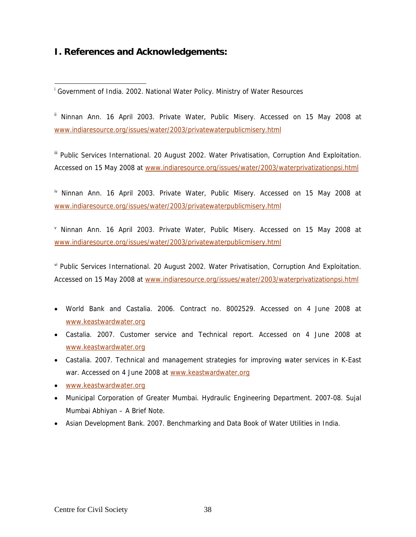### **I. References and Acknowledgements:**

 $\overline{\phantom{a}}$ 

<sup>ii</sup> Ninnan Ann. 16 April 2003. Private Water, Public Misery. Accessed on 15 May 2008 at www.indiaresource.org/issues/water/2003/privatewaterpublicmisery.html

<sup>iii</sup> Public Services International. 20 August 2002. Water Privatisation, Corruption And Exploitation. Accessed on 15 May 2008 at www.indiaresource.org/issues/water/2003/waterprivatizationpsi.html

 $\mu$ <sup>1</sup> Ninnan Ann. 16 April 2003. Private Water, Public Misery. Accessed on 15 May 2008 at www.indiaresource.org/issues/water/2003/privatewaterpublicmisery.html

<sup>v</sup> Ninnan Ann. 16 April 2003. Private Water, Public Misery. Accessed on 15 May 2008 at www.indiaresource.org/issues/water/2003/privatewaterpublicmisery.html

vi Public Services International. 20 August 2002. Water Privatisation, Corruption And Exploitation. Accessed on 15 May 2008 at www.indiaresource.org/issues/water/2003/waterprivatizationpsi.html

- World Bank and Castalia. 2006. Contract no. 8002529. Accessed on 4 June 2008 at www.keastwardwater.org
- Castalia. 2007. Customer service and Technical report. Accessed on 4 June 2008 at www.keastwardwater.org
- Castalia. 2007. Technical and management strategies for improving water services in K-East war. Accessed on 4 June 2008 at www.keastwardwater.org
- www.keastwardwater.org
- Municipal Corporation of Greater Mumbai. Hydraulic Engineering Department. 2007-08. Sujal Mumbai Abhiyan – A Brief Note.
- Asian Development Bank. 2007. Benchmarking and Data Book of Water Utilities in India.

<sup>&</sup>lt;sup>i</sup> Government of India. 2002. National Water Policy. Ministry of Water Resources